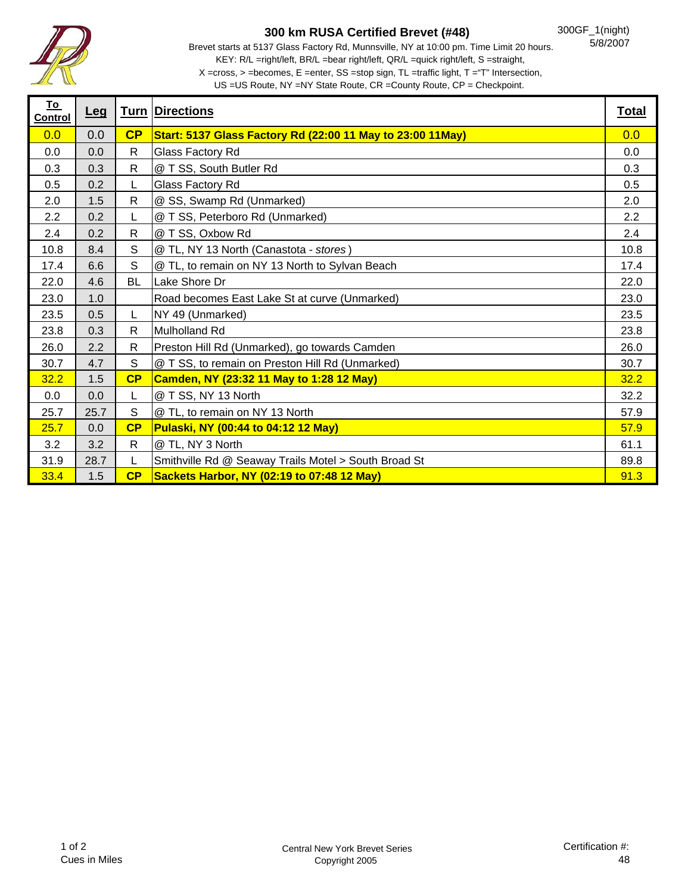

## **300 km RUSA Certified Brevet (#48)**

Brevet starts at 5137 Glass Factory Rd, Munnsville, NY at 10:00 pm. Time Limit 20 hours. KEY: R/L =right/left, BR/L =bear right/left, QR/L =quick right/left, S =straight, X =cross, > =becomes, E =enter, SS =stop sign, TL =traffic light, T ="T" Intersection,

US =US Route, NY =NY State Route, CR =County Route, CP = Checkpoint.

| <u>To</u><br><u>Control</u> | <u>Leg</u> |              | <b>Turn Directions</b>                                      | <b>Total</b> |
|-----------------------------|------------|--------------|-------------------------------------------------------------|--------------|
| 0.0                         | 0.0        | CP           | Start: 5137 Glass Factory Rd (22:00 11 May to 23:00 11 May) | 0.0          |
| 0.0                         | 0.0        | R            | Glass Factory Rd                                            | 0.0          |
| 0.3                         | 0.3        | R            | @ T SS, South Butler Rd                                     | 0.3          |
| 0.5                         | 0.2        | L            | Glass Factory Rd                                            | 0.5          |
| 2.0                         | 1.5        | R            | @ SS, Swamp Rd (Unmarked)                                   | 2.0          |
| 2.2                         | 0.2        | L            | @ T SS, Peterboro Rd (Unmarked)                             | 2.2          |
| 2.4                         | 0.2        | $\mathsf{R}$ | @ T SS, Oxbow Rd                                            | 2.4          |
| 10.8                        | 8.4        | $\mathbb S$  | @ TL, NY 13 North (Canastota - stores)                      | 10.8         |
| 17.4                        | 6.6        | S            | @ TL, to remain on NY 13 North to Sylvan Beach              | 17.4         |
| 22.0                        | 4.6        | <b>BL</b>    | Lake Shore Dr                                               | 22.0         |
| 23.0                        | 1.0        |              | Road becomes East Lake St at curve (Unmarked)               | 23.0         |
| 23.5                        | 0.5        | L            | NY 49 (Unmarked)                                            | 23.5         |
| 23.8                        | 0.3        | $\mathsf{R}$ | <b>Mulholland Rd</b>                                        | 23.8         |
| 26.0                        | 2.2        | R            | Preston Hill Rd (Unmarked), go towards Camden               | 26.0         |
| 30.7                        | 4.7        | S            | @ T SS, to remain on Preston Hill Rd (Unmarked)             | 30.7         |
| 32.2                        | 1.5        | CP           | Camden, NY (23:32 11 May to 1:28 12 May)                    | 32.2         |
| 0.0                         | 0.0        | L            | @ T SS, NY 13 North                                         | 32.2         |
| 25.7                        | 25.7       | S            | @ TL, to remain on NY 13 North                              | 57.9         |
| 25.7                        | 0.0        | CP           | Pulaski, NY (00:44 to 04:12 12 May)                         | 57.9         |
| 3.2                         | 3.2        | $\mathsf{R}$ | @ TL, NY 3 North                                            | 61.1         |
| 31.9                        | 28.7       | L            | Smithville Rd @ Seaway Trails Motel > South Broad St        | 89.8         |
| 33.4                        | 1.5        | CP           | Sackets Harbor, NY (02:19 to 07:48 12 May)                  | 91.3         |